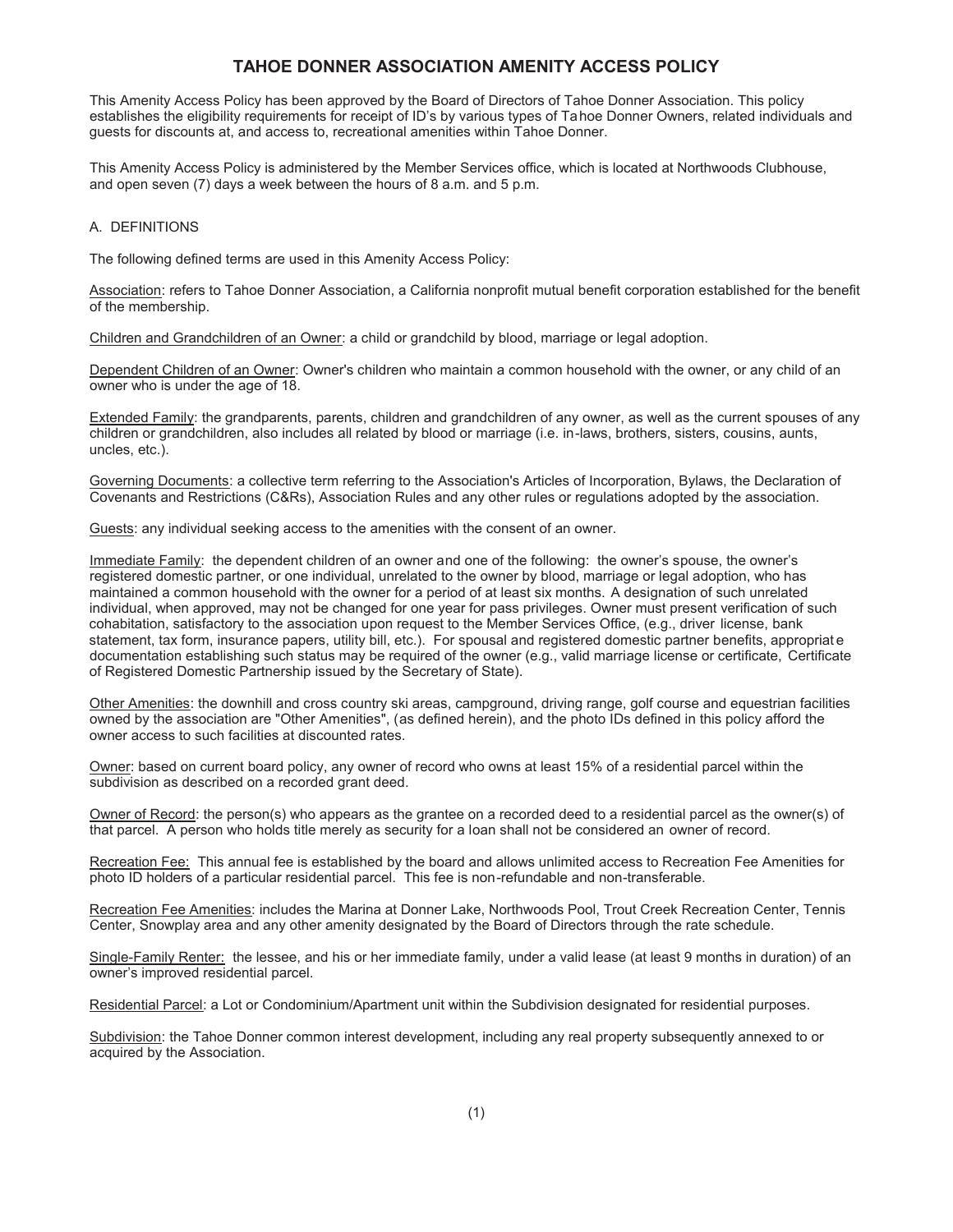# **TAHOE DONNER ASSOCIATION AMENITY ACCESS POLICY**

This Amenity Access Policy has been approved by the Board of Directors of Tahoe Donner Association. This policy establishes the eligibility requirements for receipt of ID's by various types of Tahoe Donner Owners, related individuals and guests for discounts at, and access to, recreational amenities within Tahoe Donner.

This Amenity Access Policy is administered by the Member Services office, which is located at Northwoods Clubhouse, and open seven (7) days a week between the hours of 8 a.m. and 5 p.m.

#### A. DEFINITIONS

The following defined terms are used in this Amenity Access Policy:

Association: refers to Tahoe Donner Association, a California nonprofit mutual benefit corporation established for the benefit of the membership.

Children and Grandchildren of an Owner: a child or grandchild by blood, marriage or legal adoption.

Dependent Children of an Owner: Owner's children who maintain a common household with the owner, or any child of an owner who is under the age of 18.

Extended Family: the grandparents, parents, children and grandchildren of any owner, as well as the current spouses of any children or grandchildren, also includes all related by blood or marriage (i.e. in-laws, brothers, sisters, cousins, aunts, uncles, etc.).

Governing Documents: a collective term referring to the Association's Articles of Incorporation, Bylaws, the Declaration of Covenants and Restrictions (C&Rs), Association Rules and any other rules or regulations adopted by the association.

Guests: any individual seeking access to the amenities with the consent of an owner.

Immediate Family: the dependent children of an owner and one of the following: the owner's spouse, the owner's registered domestic partner, or one individual, unrelated to the owner by blood, marriage or legal adoption, who has maintained a common household with the owner for a period of at least six months. A designation of such unrelated individual, when approved, may not be changed for one year for pass privileges. Owner must present verification of such cohabitation, satisfactory to the association upon request to the Member Services Office, (e.g., driver license, bank statement, tax form, insurance papers, utility bill, etc.). For spousal and registered domestic partner benefits, appropriat e documentation establishing such status may be required of the owner (e.g., valid marriage license or certificate, Certificate of Registered Domestic Partnership issued by the Secretary of State).

Other Amenities: the downhill and cross country ski areas, campground, driving range, golf course and equestrian facilities owned by the association are "Other Amenities", (as defined herein), and the photo IDs defined in this policy afford the owner access to such facilities at discounted rates.

Owner: based on current board policy, any owner of record who owns at least 15% of a residential parcel within the subdivision as described on a recorded grant deed.

Owner of Record: the person(s) who appears as the grantee on a recorded deed to a residential parcel as the owner(s) of that parcel. A person who holds title merely as security for a loan shall not be considered an owner of record.

Recreation Fee: This annual fee is established by the board and allows unlimited access to Recreation Fee Amenities for photo ID holders of a particular residential parcel. This fee is non-refundable and non-transferable.

Recreation Fee Amenities: includes the Marina at Donner Lake, Northwoods Pool, Trout Creek Recreation Center, Tennis Center, Snowplay area and any other amenity designated by the Board of Directors through the rate schedule.

Single-Family Renter: the lessee, and his or her immediate family, under a valid lease (at least 9 months in duration) of an owner's improved residential parcel.

Residential Parcel: a Lot or Condominium/Apartment unit within the Subdivision designated for residential purposes.

Subdivision: the Tahoe Donner common interest development, including any real property subsequently annexed to or acquired by the Association.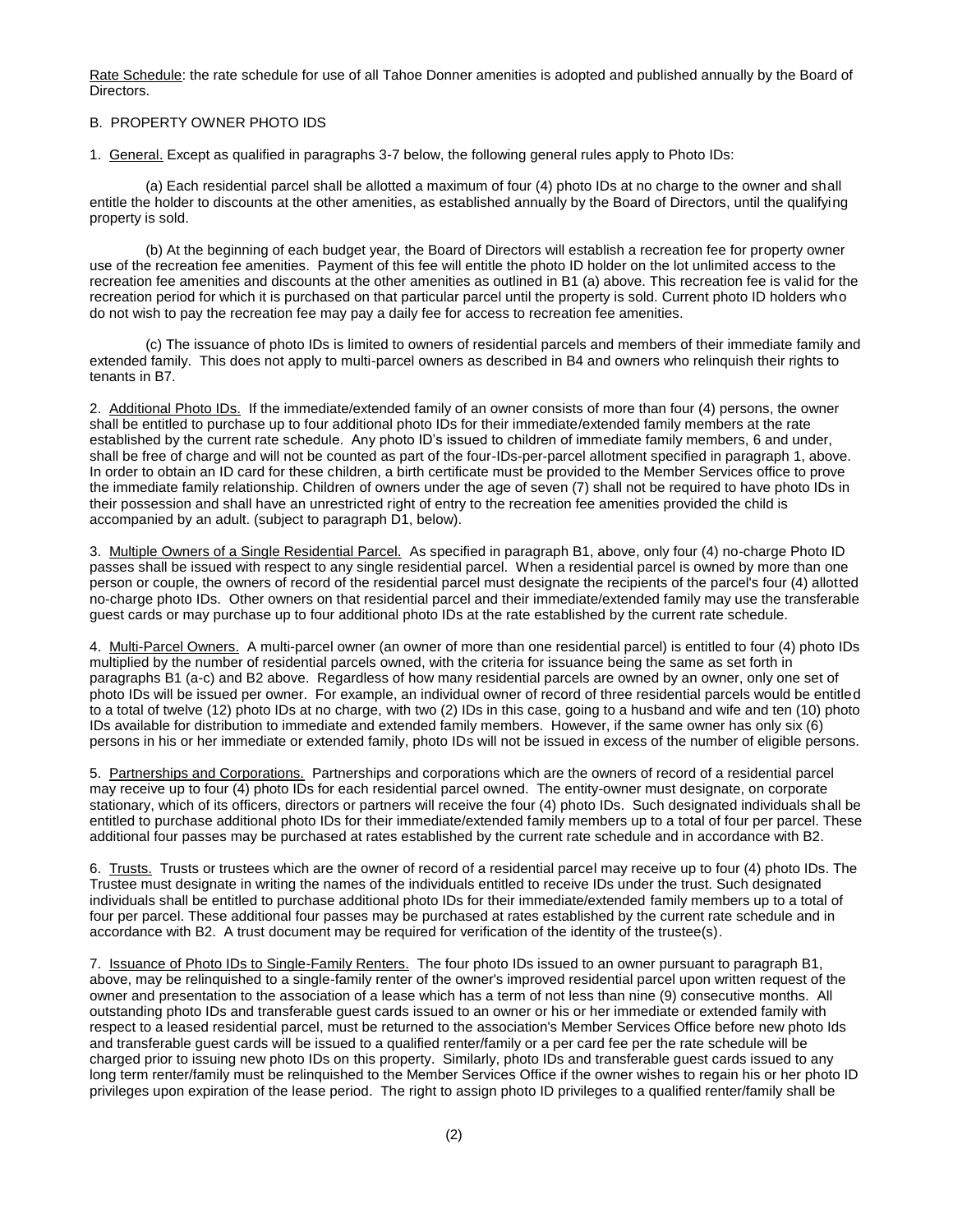Rate Schedule: the rate schedule for use of all Tahoe Donner amenities is adopted and published annually by the Board of Directors.

## B. PROPERTY OWNER PHOTO IDS

1. General. Except as qualified in paragraphs 3-7 below, the following general rules apply to Photo IDs:

(a) Each residential parcel shall be allotted a maximum of four (4) photo IDs at no charge to the owner and shall entitle the holder to discounts at the other amenities, as established annually by the Board of Directors, until the qualifying property is sold.

(b) At the beginning of each budget year, the Board of Directors will establish a recreation fee for property owner use of the recreation fee amenities. Payment of this fee will entitle the photo ID holder on the lot unlimited access to the recreation fee amenities and discounts at the other amenities as outlined in B1 (a) above. This recreation fee is valid for the recreation period for which it is purchased on that particular parcel until the property is sold. Current photo ID holders who do not wish to pay the recreation fee may pay a daily fee for access to recreation fee amenities.

(c) The issuance of photo IDs is limited to owners of residential parcels and members of their immediate family and extended family. This does not apply to multi-parcel owners as described in B4 and owners who relinquish their rights to tenants in B7.

2. Additional Photo IDs. If the immediate/extended family of an owner consists of more than four (4) persons, the owner shall be entitled to purchase up to four additional photo IDs for their immediate/extended family members at the rate established by the current rate schedule. Any photo ID's issued to children of immediate family members, 6 and under, shall be free of charge and will not be counted as part of the four-IDs-per-parcel allotment specified in paragraph 1, above. In order to obtain an ID card for these children, a birth certificate must be provided to the Member Services office to prove the immediate family relationship. Children of owners under the age of seven (7) shall not be required to have photo IDs in their possession and shall have an unrestricted right of entry to the recreation fee amenities provided the child is accompanied by an adult. (subject to paragraph D1, below).

3. Multiple Owners of a Single Residential Parcel. As specified in paragraph B1, above, only four (4) no-charge Photo ID passes shall be issued with respect to any single residential parcel. When a residential parcel is owned by more than one person or couple, the owners of record of the residential parcel must designate the recipients of the parcel's four (4) allotted no-charge photo IDs. Other owners on that residential parcel and their immediate/extended family may use the transferable guest cards or may purchase up to four additional photo IDs at the rate established by the current rate schedule.

4. Multi-Parcel Owners. A multi-parcel owner (an owner of more than one residential parcel) is entitled to four (4) photo IDs multiplied by the number of residential parcels owned, with the criteria for issuance being the same as set forth in paragraphs B1 (a-c) and B2 above. Regardless of how many residential parcels are owned by an owner, only one set of photo IDs will be issued per owner. For example, an individual owner of record of three residential parcels would be entitled to a total of twelve (12) photo IDs at no charge, with two (2) IDs in this case, going to a husband and wife and ten (10) photo IDs available for distribution to immediate and extended family members. However, if the same owner has only six (6) persons in his or her immediate or extended family, photo IDs will not be issued in excess of the number of eligible persons.

5. Partnerships and Corporations. Partnerships and corporations which are the owners of record of a residential parcel may receive up to four (4) photo IDs for each residential parcel owned. The entity-owner must designate, on corporate stationary, which of its officers, directors or partners will receive the four (4) photo IDs. Such designated individuals shall be entitled to purchase additional photo IDs for their immediate/extended family members up to a total of four per parcel. These additional four passes may be purchased at rates established by the current rate schedule and in accordance with B2.

6. Trusts. Trusts or trustees which are the owner of record of a residential parcel may receive up to four (4) photo IDs. The Trustee must designate in writing the names of the individuals entitled to receive IDs under the trust. Such designated individuals shall be entitled to purchase additional photo IDs for their immediate/extended family members up to a total of four per parcel. These additional four passes may be purchased at rates established by the current rate schedule and in accordance with B2. A trust document may be required for verification of the identity of the trustee(s).

7. Issuance of Photo IDs to Single-Family Renters. The four photo IDs issued to an owner pursuant to paragraph B1, above, may be relinquished to a single-family renter of the owner's improved residential parcel upon written request of the owner and presentation to the association of a lease which has a term of not less than nine (9) consecutive months. All outstanding photo IDs and transferable guest cards issued to an owner or his or her immediate or extended family with respect to a leased residential parcel, must be returned to the association's Member Services Office before new photo Ids and transferable guest cards will be issued to a qualified renter/family or a per card fee per the rate schedule will be charged prior to issuing new photo IDs on this property. Similarly, photo IDs and transferable guest cards issued to any long term renter/family must be relinquished to the Member Services Office if the owner wishes to regain his or her photo ID privileges upon expiration of the lease period. The right to assign photo ID privileges to a qualified renter/family shall be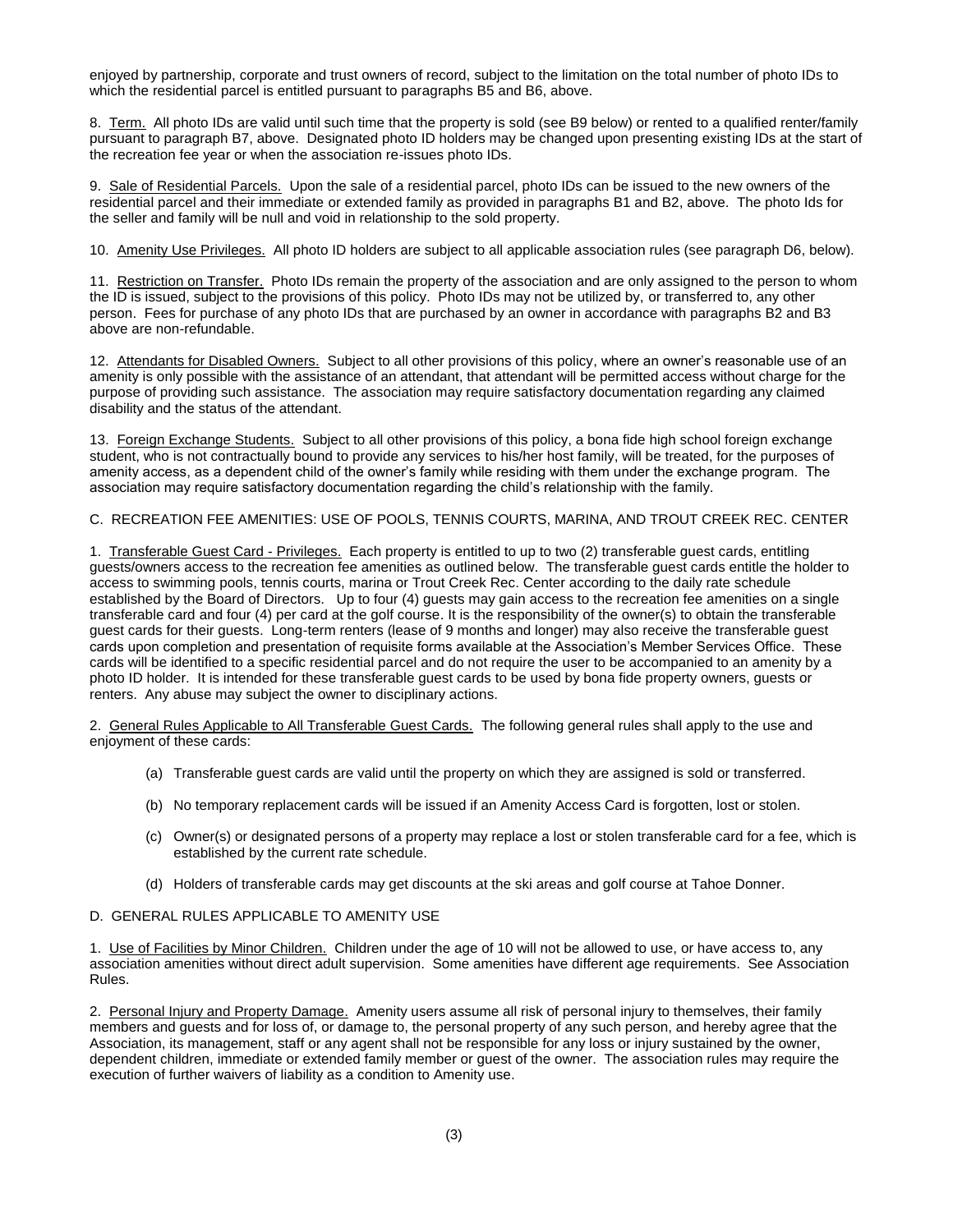enjoyed by partnership, corporate and trust owners of record, subject to the limitation on the total number of photo IDs to which the residential parcel is entitled pursuant to paragraphs B5 and B6, above.

8. Term. All photo IDs are valid until such time that the property is sold (see B9 below) or rented to a qualified renter/family pursuant to paragraph B7, above. Designated photo ID holders may be changed upon presenting existing IDs at the start of the recreation fee year or when the association re-issues photo IDs.

9. Sale of Residential Parcels. Upon the sale of a residential parcel, photo IDs can be issued to the new owners of the residential parcel and their immediate or extended family as provided in paragraphs B1 and B2, above. The photo Ids for the seller and family will be null and void in relationship to the sold property.

10. Amenity Use Privileges. All photo ID holders are subject to all applicable association rules (see paragraph D6, below).

11. Restriction on Transfer. Photo IDs remain the property of the association and are only assigned to the person to whom the ID is issued, subject to the provisions of this policy. Photo IDs may not be utilized by, or transferred to, any other person. Fees for purchase of any photo IDs that are purchased by an owner in accordance with paragraphs B2 and B3 above are non-refundable.

12. Attendants for Disabled Owners. Subject to all other provisions of this policy, where an owner's reasonable use of an amenity is only possible with the assistance of an attendant, that attendant will be permitted access without charge for the purpose of providing such assistance. The association may require satisfactory documentation regarding any claimed disability and the status of the attendant.

13. Foreign Exchange Students. Subject to all other provisions of this policy, a bona fide high school foreign exchange student, who is not contractually bound to provide any services to his/her host family, will be treated, for the purposes of amenity access, as a dependent child of the owner's family while residing with them under the exchange program. The association may require satisfactory documentation regarding the child's relationship with the family.

#### C. RECREATION FEE AMENITIES: USE OF POOLS, TENNIS COURTS, MARINA, AND TROUT CREEK REC. CENTER

1. Transferable Guest Card - Privileges. Each property is entitled to up to two (2) transferable guest cards, entitling guests/owners access to the recreation fee amenities as outlined below. The transferable guest cards entitle the holder to access to swimming pools, tennis courts, marina or Trout Creek Rec. Center according to the daily rate schedule established by the Board of Directors. Up to four (4) guests may gain access to the recreation fee amenities on a single transferable card and four (4) per card at the golf course. It is the responsibility of the owner(s) to obtain the transferable guest cards for their guests. Long-term renters (lease of 9 months and longer) may also receive the transferable guest cards upon completion and presentation of requisite forms available at the Association's Member Services Office. These cards will be identified to a specific residential parcel and do not require the user to be accompanied to an amenity by a photo ID holder. It is intended for these transferable guest cards to be used by bona fide property owners, guests or renters. Any abuse may subject the owner to disciplinary actions.

2. General Rules Applicable to All Transferable Guest Cards. The following general rules shall apply to the use and enjoyment of these cards:

- (a) Transferable guest cards are valid until the property on which they are assigned is sold or transferred.
- (b) No temporary replacement cards will be issued if an Amenity Access Card is forgotten, lost or stolen.
- (c) Owner(s) or designated persons of a property may replace a lost or stolen transferable card for a fee, which is established by the current rate schedule.
- (d) Holders of transferable cards may get discounts at the ski areas and golf course at Tahoe Donner.

## D. GENERAL RULES APPLICABLE TO AMENITY USE

1. Use of Facilities by Minor Children. Children under the age of 10 will not be allowed to use, or have access to, any association amenities without direct adult supervision. Some amenities have different age requirements. See Association Rules.

2. Personal Injury and Property Damage. Amenity users assume all risk of personal injury to themselves, their family members and guests and for loss of, or damage to, the personal property of any such person, and hereby agree that the Association, its management, staff or any agent shall not be responsible for any loss or injury sustained by the owner, dependent children, immediate or extended family member or guest of the owner. The association rules may require the execution of further waivers of liability as a condition to Amenity use.